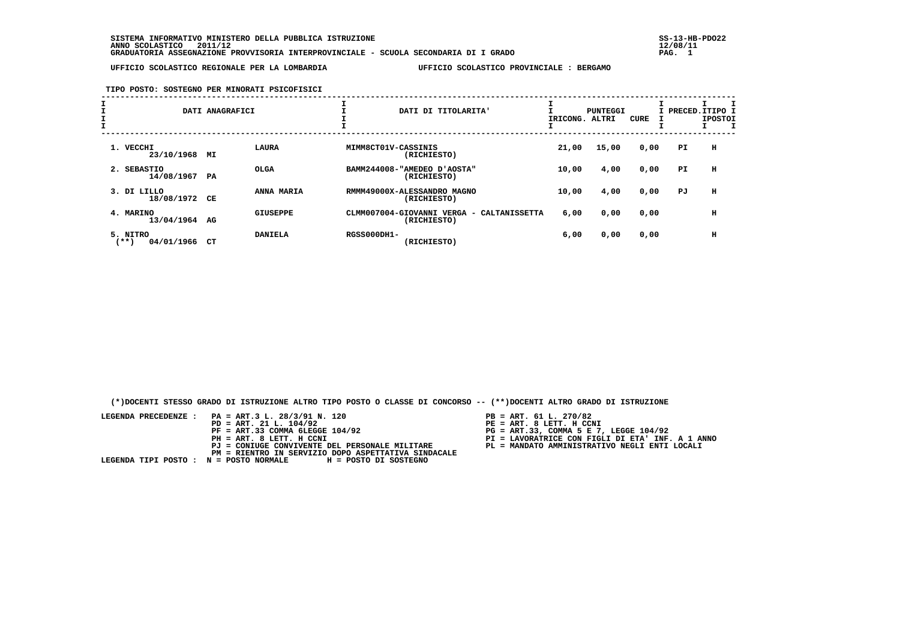**SISTEMA INFORMATIVO MINISTERO DELLA PUBBLICA ISTRUZIONE SS-13-HB-PDO22 ANNO SCOLASTICO 2011/12 12/08/11 GRADUATORIA ASSEGNAZIONE PROVVISORIA INTERPROVINCIALE - SCUOLA SECONDARIA DI I GRADO PAG. 1**

 **UFFICIO SCOLASTICO REGIONALE PER LA LOMBARDIA UFFICIO SCOLASTICO PROVINCIALE : BERGAMO**

## **TIPO POSTO: SOSTEGNO PER MINORATI PSICOFISICI**

|                                | DATI ANAGRAFICI       |                    | DATI DI TITOLARITA'                                      | IRICONG. | PUNTEGGI<br>ALTRI | CURE | I PRECED.ITIPO I | <b>IPOSTOI</b> |
|--------------------------------|-----------------------|--------------------|----------------------------------------------------------|----------|-------------------|------|------------------|----------------|
| 1. VECCHI<br>23/10/1968        | LAURA<br>МI           |                    | MIMM8CT01V-CASSINIS<br>(RICHIESTO)                       | 21,00    | 15,00             | 0,00 | PI.              | н              |
| 2. SEBASTIO<br>14/08/1967      | <b>OLGA</b><br>PA     |                    | BAMM244008-"AMEDEO D'AOSTA"<br>(RICHIESTO)               | 10,00    | 4,00              | 0,00 | PI               | н              |
| 3. DI LILLO<br>18/08/1972      | ANNA MARIA<br>CЕ      |                    | RMMM49000X-ALESSANDRO MAGNO<br>(RICHIESTO)               | 10,00    | 4,00              | 0,00 | PJ               | н              |
| 4. MARINO<br>13/04/1964        | <b>GIUSEPPE</b><br>AG |                    | CLMM007004-GIOVANNI VERGA - CALTANISSETTA<br>(RICHIESTO) | 6,00     | 0,00              | 0,00 |                  | н              |
| 5. NITRO<br>04/01/1966<br>(**) | <b>DANIELA</b><br>СT  | <b>RGSS000DH1-</b> | (RICHIESTO)                                              | 6,00     | 0,00              | 0,00 |                  | н              |

 **(\*)DOCENTI STESSO GRADO DI ISTRUZIONE ALTRO TIPO POSTO O CLASSE DI CONCORSO -- (\*\*)DOCENTI ALTRO GRADO DI ISTRUZIONE**

| LEGENDA PRECEDENZE : PA = ART.3 L. 28/3/91 N. 120<br>$PD = ART. 21 L. 104/92$<br>$PF = ART.33 COMMA 6LEGGE 104/92$<br>PH = ART. 8 LETT. H CCNI<br>PJ = CONIUGE CONVIVENTE DEL PERSONALE MILITARE<br>PM = RIENTRO IN SERVIZIO DOPO ASPETTATIVA SINDACALE | $PB = ART. 61 L. 270/82$<br>PE = ART. 8 LETT. H CCNI<br>$PG = ART.33. COMMA 5 E 7. LEGGE 104/92$<br>PI = LAVORATRICE CON FIGLI DI ETA' INF. A 1 ANNO<br>PL = MANDATO AMMINISTRATIVO NEGLI ENTI LOCALI |
|---------------------------------------------------------------------------------------------------------------------------------------------------------------------------------------------------------------------------------------------------------|-------------------------------------------------------------------------------------------------------------------------------------------------------------------------------------------------------|
| LEGENDA TIPI POSTO : N = POSTO NORMALE H = POSTO DI SOSTEGNO                                                                                                                                                                                            |                                                                                                                                                                                                       |

- TT. H CCNI
- 
-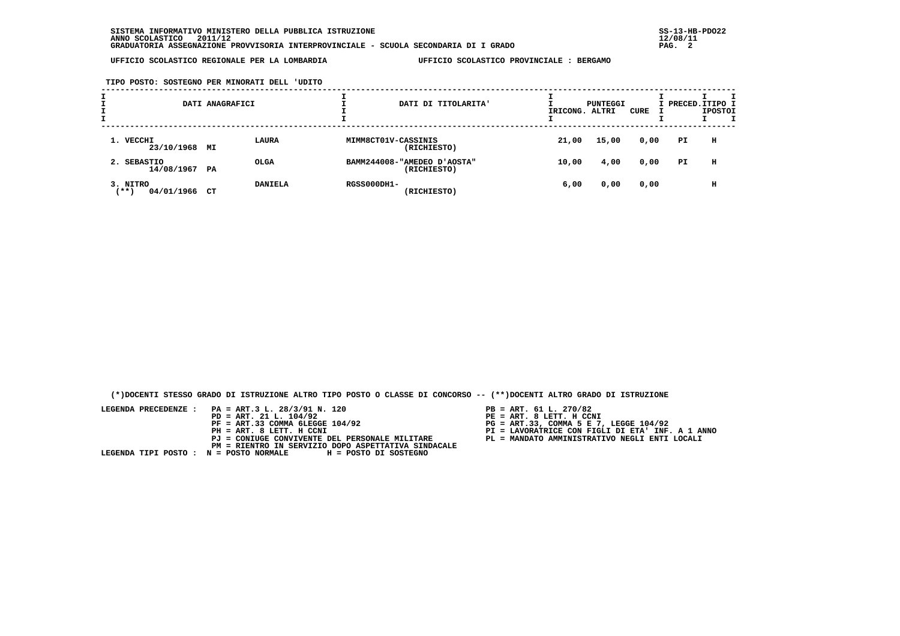**UFFICIO SCOLASTICO REGIONALE PER LA LOMBARDIA UFFICIO SCOLASTICO PROVINCIALE : BERGAMO**

 **TIPO POSTO: SOSTEGNO PER MINORATI DELL 'UDITO**

| <b>L</b> |                                 | DATI ANAGRAFICI |                |                     | DATI DI TITOLARITA'                        | IRICONG. | PUNTEGGI<br>ALTRI | CURE | I PRECED. ITIPO I | <b>IPOSTOI</b> |  |
|----------|---------------------------------|-----------------|----------------|---------------------|--------------------------------------------|----------|-------------------|------|-------------------|----------------|--|
|          | 1. VECCHI<br>23/10/1968 MI      |                 | <b>LAURA</b>   | MIMM8CT01V-CASSINIS | (RICHIESTO)                                | 21,00    | 15,00             | 0,00 | PI.               | н              |  |
|          | 2. SEBASTIO<br>14/08/1967 PA    |                 | <b>OLGA</b>    |                     | BAMM244008-"AMEDEO D'AOSTA"<br>(RICHIESTO) | 10,00    | 4,00              | 0,00 | PI                | н              |  |
|          | 3. NITRO<br>$***$<br>04/01/1966 | CT              | <b>DANIELA</b> | <b>RGSS000DH1-</b>  | (RICHIESTO)                                | 6,00     | 0,00              | 0,00 |                   | н              |  |

 **(\*)DOCENTI STESSO GRADO DI ISTRUZIONE ALTRO TIPO POSTO O CLASSE DI CONCORSO -- (\*\*)DOCENTI ALTRO GRADO DI ISTRUZIONE**

 **LEGENDA PRECEDENZE : PA = ART.3 L. 28/3/91 N. 120 PB = ART. 61 L. 270/82 PD = ART. 21 L. 104/92 PE = ART. 8 LETT. H CCNI**PB = ART. 61 L. 270/82<br>PE = ART. 8 LETT. H CCNI  **PF = ART.33 COMMA 6LEGGE 104/92 PG = ART.33, COMMA 5 E 7, LEGGE 104/92 PH = ART. 8 LETT. H CCNI PI = LAVORATRICE CON FIGLI DI ETA' INF. A 1 ANNO PJ = CONIUGE CONVIVENTE DEL PERSONALE MILITARE PL = MANDATO AMMINISTRATIVO NEGLI ENTI LOCALI PM = RIENTRO IN SERVIZIO DOPO ASPETTATIVA SINDACALE LEGENDA TIPI POSTO : N = POSTO NORMALE H = POSTO DI SOSTEGNO**